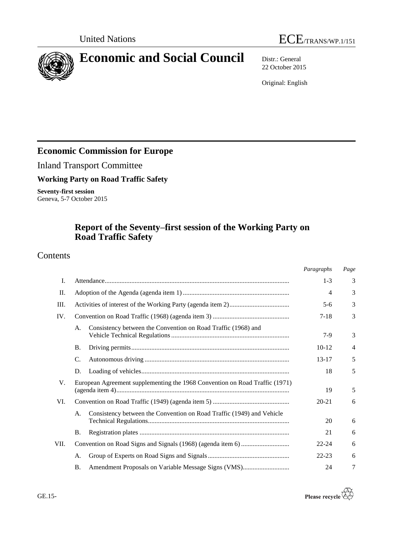



# **Economic and Social Council** Distr.: General

22 October 2015

Original: English

# **Economic Commission for Europe**

Inland Transport Committee

**Working Party on Road Traffic Safety**

**Seventy-first session** Geneva, 5-7 October 2015

# **Report of the Seventy–first session of the Working Party on Road Traffic Safety**

# Contents

|      |                                                                             | Paragraphs     | Page |
|------|-----------------------------------------------------------------------------|----------------|------|
| Ι.   |                                                                             | $1 - 3$        | 3    |
| П.   |                                                                             | $\overline{4}$ | 3    |
| III. |                                                                             | $5 - 6$        | 3    |
| IV.  |                                                                             | $7-18$         | 3    |
|      | Consistency between the Convention on Road Traffic (1968) and<br>А.         | $7-9$          | 3    |
|      | <b>B.</b>                                                                   | $10-12$        | 4    |
|      | C.                                                                          | $13 - 17$      | 5    |
|      | D.                                                                          | 18             | 5    |
| V.   | European Agreement supplementing the 1968 Convention on Road Traffic (1971) | 19             | 5    |
| VI.  |                                                                             | $20 - 21$      | 6    |
|      | Consistency between the Convention on Road Traffic (1949) and Vehicle<br>A. | 20             | 6    |
|      | Β.                                                                          | 21             | 6    |
| VII. |                                                                             | $22 - 24$      | 6    |
|      | A.                                                                          | $22 - 23$      | 6    |
|      | Amendment Proposals on Variable Message Signs (VMS)<br><b>B.</b>            | 24             | 7    |

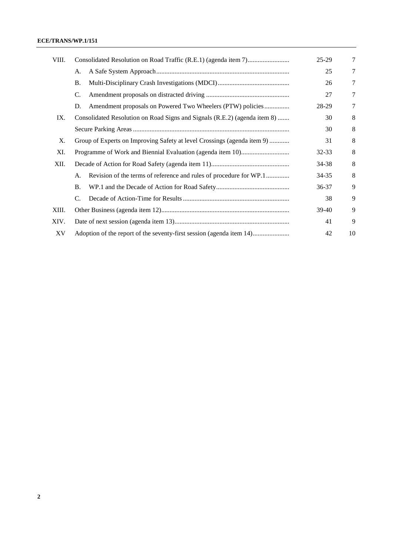#### **ECE/TRANS/WP.1/151**

| VIII. |                                                                           | $25-29$ | 7  |
|-------|---------------------------------------------------------------------------|---------|----|
|       | A.                                                                        | 25      | 7  |
|       | <b>B.</b>                                                                 | 26      | 7  |
|       | C.                                                                        | 27      | 7  |
|       | Amendment proposals on Powered Two Wheelers (PTW) policies<br>D.          | 28-29   | 7  |
| IX.   | Consolidated Resolution on Road Signs and Signals (R.E.2) (agenda item 8) | 30      | 8  |
|       |                                                                           | 30      | 8  |
| Χ.    | Group of Experts on Improving Safety at level Crossings (agenda item 9)   | 31      | 8  |
| XI.   |                                                                           | 32-33   | 8  |
| XII.  |                                                                           | 34-38   | 8  |
|       | Revision of the terms of reference and rules of procedure for WP.1<br>A.  | 34-35   | 8  |
|       | Β.                                                                        | 36-37   | 9  |
|       | $\mathcal{C}$ .                                                           | 38      | 9  |
| XIII. |                                                                           | 39-40   | 9  |
| XIV.  |                                                                           | 41      | 9  |
| XV    | Adoption of the report of the seventy-first session (agenda item 14)      | 42      | 10 |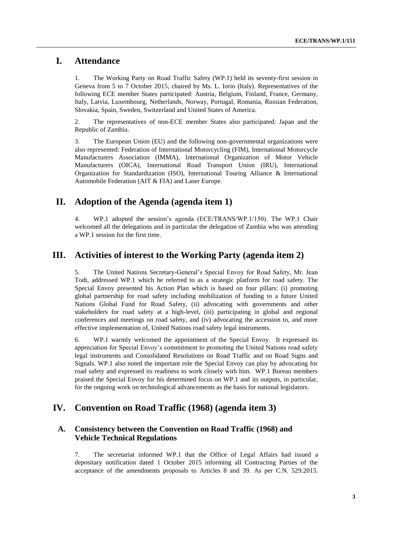## **I. Attendance**

1. The Working Party on Road Traffic Safety (WP.1) held its seventy-first session in Geneva from 5 to 7 October 2015, chaired by Ms. L. Iorio (Italy). Representatives of the following ECE member States participated: Austria, Belgium, Finland, France, Germany, Italy, Latvia, Luxembourg, Netherlands, Norway, Portugal, Romania, Russian Federation, Slovakia, Spain, Sweden, Switzerland and United States of America.

2. The representatives of non-ECE member States also participated: Japan and the Republic of Zambia.

3. The European Union (EU) and the following non-governmental organizations were also represented: Federation of International Motorcycling (FIM), International Motorcycle Manufacturers Association (IMMA), International Organization of Motor Vehicle Manufacturers (OICA), International Road Transport Union (IRU), International Organization for Standardization (ISO), International Touring Alliance & International Automobile Federation (AIT & FIA) and Laser Europe.

## **II. Adoption of the Agenda (agenda item 1)**

4. WP.1 adopted the session's agenda (ECE/TRANS/WP.1/150). The WP.1 Chair welcomed all the delegations and in particular the delegation of Zambia who was attending a WP.1 session for the first time.

## **III. Activities of interest to the Working Party (agenda item 2)**

5. The United Nations Secretary-General's Special Envoy for Road Safety, Mr. Jean Todt, addressed WP.1 which he referred to as a strategic platform for road safety. The Special Envoy presented his Action Plan which is based on four pillars: (i) promoting global partnership for road safety including mobilization of funding to a future United Nations Global Fund for Road Safety, (ii) advocating with governments and other stakeholders for road safety at a high-level, (iii) participating in global and regional conferences and meetings on road safety, and (iv) advocating the accession to, and more effective implementation of, United Nations road safety legal instruments.

6. WP.1 warmly welcomed the appointment of the Special Envoy. It expressed its appreciation for Special Envoy's commitment to promoting the United Nations road safety legal instruments and Consolidated Resolutions on Road Traffic and on Road Signs and Signals. WP.1 also noted the important role the Special Envoy can play by advocating for road safety and expressed its readiness to work closely with him. WP.1 Bureau members praised the Special Envoy for his determined focus on WP.1 and its outputs, in particular, for the ongoing work on technological advancements as the basis for national legislators.

# **IV. Convention on Road Traffic (1968) (agenda item 3)**

#### **A. Consistency between the Convention on Road Traffic (1968) and Vehicle Technical Regulations**

7. The secretariat informed WP.1 that the Office of Legal Affairs had issued a depositary notification dated 1 October 2015 informing all Contracting Parties of the acceptance of the amendments proposals to Articles 8 and 39. As per C.N. 529.2015.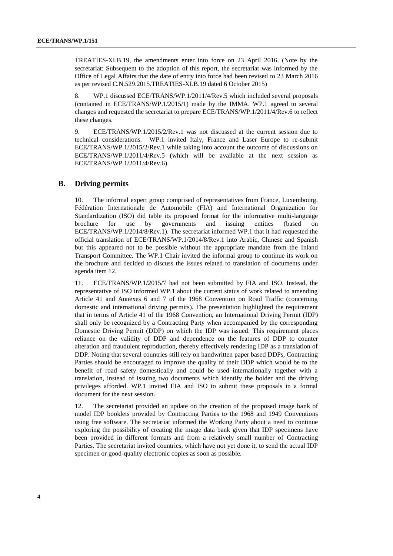TREATIES-XI.B.19, the amendments enter into force on 23 April 2016. (Note by the secretariat: Subsequent to the adoption of this report, the secretariat was informed by the Office of Legal Affairs that the date of entry into force had been revised to 23 March 2016 as per revised C.N.529.2015.TREATIES-XI.B.19 dated 6 October 2015)

8. WP.1 discussed ECE/TRANS/WP.1/2011/4/Rev.5 which included several proposals (contained in ECE/TRANS/WP.1/2015/1) made by the IMMA. WP.1 agreed to several changes and requested the secretariat to prepare ECE/TRANS/WP.1/2011/4/Rev.6 to reflect these changes.

9. ECE/TRANS/WP.1/2015/2/Rev.1 was not discussed at the current session due to technical considerations. WP.1 invited Italy, France and Laser Europe to re-submit ECE/TRANS/WP.1/2015/2/Rev.1 while taking into account the outcome of discussions on ECE/TRANS/WP.1/2011/4/Rev.5 (which will be available at the next session as ECE/TRANS/WP.1/2011/4/Rev.6).

#### **B. Driving permits**

10. The informal expert group comprised of representatives from France, Luxembourg, Fédération Internationale de Automobile (FIA) and International Organization for Standardization (ISO) did table its proposed format for the informative multi-language brochure for use by governments and issuing entities (based on ECE/TRANS/WP.1/2014/8/Rev.1). The secretariat informed WP.1 that it had requested the official translation of ECE/TRANS/WP.1/2014/8/Rev.1 into Arabic, Chinese and Spanish but this appeared not to be possible without the appropriate mandate from the Inland Transport Committee. The WP.1 Chair invited the informal group to continue its work on the brochure and decided to discuss the issues related to translation of documents under agenda item 12.

11. ECE/TRANS/WP.1/2015/7 had not been submitted by FIA and ISO. Instead, the representative of ISO informed WP.1 about the current status of work related to amending Article 41 and Annexes 6 and 7 of the 1968 Convention on Road Traffic (concerning domestic and international driving permits). The presentation highlighted the requirement that in terms of Article 41 of the 1968 Convention, an International Driving Permit (IDP) shall only be recognized by a Contracting Party when accompanied by the corresponding Domestic Driving Permit (DDP) on which the IDP was issued. This requirement places reliance on the validity of DDP and dependence on the features of DDP to counter alteration and fraudulent reproduction, thereby effectively rendering IDP as a translation of DDP. Noting that several countries still rely on handwritten paper based DDPs, Contracting Parties should be encouraged to improve the quality of their DDP which would be to the benefit of road safety domestically and could be used internationally together with a translation, instead of issuing two documents which identify the holder and the driving privileges afforded. WP.1 invited FIA and ISO to submit these proposals in a formal document for the next session.

12. The secretariat provided an update on the creation of the proposed image bank of model IDP booklets provided by Contracting Parties to the 1968 and 1949 Conventions using free software. The secretariat informed the Working Party about a need to continue exploring the possibility of creating the image data bank given that IDP specimens have been provided in different formats and from a relatively small number of Contracting Parties. The secretariat invited countries, which have not yet done it, to send the actual IDP specimen or good-quality electronic copies as soon as possible.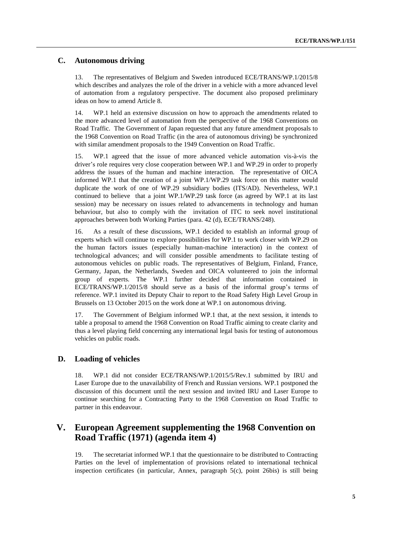#### **C. Autonomous driving**

13. The representatives of Belgium and Sweden introduced ECE/TRANS/WP.1/2015/8 which describes and analyzes the role of the driver in a vehicle with a more advanced level of automation from a regulatory perspective. The document also proposed preliminary ideas on how to amend Article 8.

14. WP.1 held an extensive discussion on how to approach the amendments related to the more advanced level of automation from the perspective of the 1968 Conventions on Road Traffic. The Government of Japan requested that any future amendment proposals to the 1968 Convention on Road Traffic (in the area of autonomous driving) be synchronized with similar amendment proposals to the 1949 Convention on Road Traffic.

15. WP.1 agreed that the issue of more advanced vehicle automation vis-à-vis the driver's role requires very close cooperation between WP.1 and WP.29 in order to properly address the issues of the human and machine interaction. The representative of OICA informed WP.1 that the creation of a joint WP.1/WP.29 task force on this matter would duplicate the work of one of WP.29 subsidiary bodies (ITS/AD). Nevertheless, WP.1 continued to believe that a joint WP.1/WP.29 task force (as agreed by WP.1 at its last session) may be necessary on issues related to advancements in technology and human behaviour, but also to comply with the invitation of ITC to seek novel institutional approaches between both Working Parties (para. 42 (d), ECE/TRANS/248).

16. As a result of these discussions, WP.1 decided to establish an informal group of experts which will continue to explore possibilities for WP.1 to work closer with WP.29 on the human factors issues (especially human-machine interaction) in the context of technological advances; and will consider possible amendments to facilitate testing of autonomous vehicles on public roads. The representatives of Belgium, Finland, France, Germany, Japan, the Netherlands, Sweden and OICA volunteered to join the informal group of experts. The WP.1 further decided that information contained in ECE/TRANS/WP.1/2015/8 should serve as a basis of the informal group's terms of reference. WP.1 invited its Deputy Chair to report to the Road Safety High Level Group in Brussels on 13 October 2015 on the work done at WP.1 on autonomous driving.

17. The Government of Belgium informed WP.1 that, at the next session, it intends to table a proposal to amend the 1968 Convention on Road Traffic aiming to create clarity and thus a level playing field concerning any international legal basis for testing of autonomous vehicles on public roads.

#### **D. Loading of vehicles**

18. WP.1 did not consider ECE/TRANS/WP.1/2015/5/Rev.1 submitted by IRU and Laser Europe due to the unavailability of French and Russian versions. WP.1 postponed the discussion of this document until the next session and invited IRU and Laser Europe to continue searching for a Contracting Party to the 1968 Convention on Road Traffic to partner in this endeavour.

# **V. European Agreement supplementing the 1968 Convention on Road Traffic (1971) (agenda item 4)**

19. The secretariat informed WP.1 that the questionnaire to be distributed to Contracting Parties on the level of implementation of provisions related to international technical inspection certificates (in particular, Annex, paragraph 5(c), point 26bis) is still being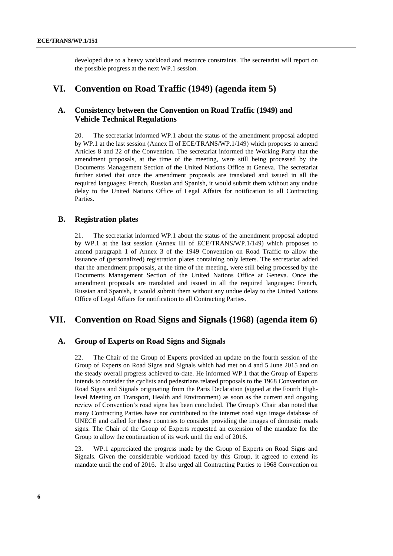developed due to a heavy workload and resource constraints. The secretariat will report on the possible progress at the next WP.1 session.

### **VI. Convention on Road Traffic (1949) (agenda item 5)**

#### **A. Consistency between the Convention on Road Traffic (1949) and Vehicle Technical Regulations**

20. The secretariat informed WP.1 about the status of the amendment proposal adopted by WP.1 at the last session (Annex II of ECE/TRANS/WP.1/149) which proposes to amend Articles 8 and 22 of the Convention. The secretariat informed the Working Party that the amendment proposals, at the time of the meeting, were still being processed by the Documents Management Section of the United Nations Office at Geneva. The secretariat further stated that once the amendment proposals are translated and issued in all the required languages: French, Russian and Spanish, it would submit them without any undue delay to the United Nations Office of Legal Affairs for notification to all Contracting Parties.

#### **B. Registration plates**

21. The secretariat informed WP.1 about the status of the amendment proposal adopted by WP.1 at the last session (Annex III of ECE/TRANS/WP.1/149) which proposes to amend paragraph 1 of Annex 3 of the 1949 Convention on Road Traffic to allow the issuance of (personalized) registration plates containing only letters. The secretariat added that the amendment proposals, at the time of the meeting, were still being processed by the Documents Management Section of the United Nations Office at Geneva. Once the amendment proposals are translated and issued in all the required languages: French, Russian and Spanish, it would submit them without any undue delay to the United Nations Office of Legal Affairs for notification to all Contracting Parties.

# **VII. Convention on Road Signs and Signals (1968) (agenda item 6)**

#### **A. Group of Experts on Road Signs and Signals**

22. The Chair of the Group of Experts provided an update on the fourth session of the Group of Experts on Road Signs and Signals which had met on 4 and 5 June 2015 and on the steady overall progress achieved to-date. He informed WP.1 that the Group of Experts intends to consider the cyclists and pedestrians related proposals to the 1968 Convention on Road Signs and Signals originating from the Paris Declaration (signed at the [Fourth High](http://www.unece.org/thepep/en/hlm/hl4_info.html)[level Meeting on Transport, Health and Environment\)](http://www.unece.org/thepep/en/hlm/hl4_info.html) as soon as the current and ongoing review of Convention's road signs has been concluded. The Group's Chair also noted that many Contracting Parties have not contributed to the internet road sign image database of UNECE and called for these countries to consider providing the images of domestic roads signs. The Chair of the Group of Experts requested an extension of the mandate for the Group to allow the continuation of its work until the end of 2016.

23. WP.1 appreciated the progress made by the Group of Experts on Road Signs and Signals. Given the considerable workload faced by this Group, it agreed to extend its mandate until the end of 2016. It also urged all Contracting Parties to 1968 Convention on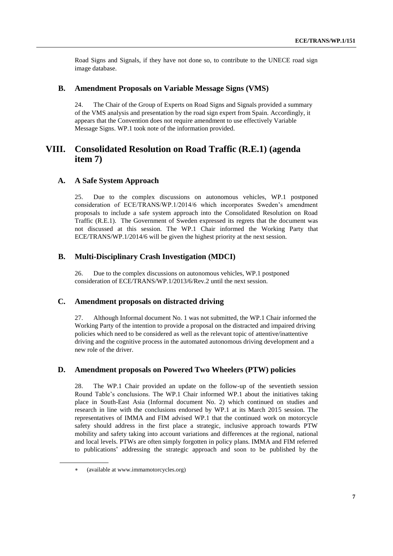Road Signs and Signals, if they have not done so, to contribute to the UNECE road sign image database.

#### **B. Amendment Proposals on Variable Message Signs (VMS)**

24. The Chair of the Group of Experts on Road Signs and Signals provided a summary of the VMS analysis and presentation by the road sign expert from Spain. Accordingly, it appears that the Convention does not require amendment to use effectively Variable Message Signs. WP.1 took note of the information provided.

# **VIII. Consolidated Resolution on Road Traffic (R.E.1) (agenda item 7)**

#### **A. A Safe System Approach**

25. Due to the complex discussions on autonomous vehicles, WP.1 postponed consideration of ECE/TRANS/WP.1/2014/6 which incorporates Sweden's amendment proposals to include a safe system approach into the Consolidated Resolution on Road Traffic (R.E.1). The Government of Sweden expressed its regrets that the document was not discussed at this session. The WP.1 Chair informed the Working Party that ECE/TRANS/WP.1/2014/6 will be given the highest priority at the next session.

#### **B. Multi-Disciplinary Crash Investigation (MDCI)**

26. Due to the complex discussions on autonomous vehicles, WP.1 postponed consideration of ECE/TRANS/WP.1/2013/6/Rev.2 until the next session.

#### **C. Amendment proposals on distracted driving**

27. Although Informal document No. 1 was not submitted, the WP.1 Chair informed the Working Party of the intention to provide a proposal on the distracted and impaired driving policies which need to be considered as well as the relevant topic of attentive/inattentive driving and the cognitive process in the automated autonomous driving development and a new role of the driver.

#### **D. Amendment proposals on Powered Two Wheelers (PTW) policies**

28. The WP.1 Chair provided an update on the follow-up of the seventieth session Round Table's conclusions. The WP.1 Chair informed WP.1 about the initiatives taking place in South-East Asia (Informal document No. 2) which continued on studies and research in line with the conclusions endorsed by WP.1 at its March 2015 session. The representatives of IMMA and FIM advised WP.1 that the continued work on motorcycle safety should address in the first place a strategic, inclusive approach towards PTW mobility and safety taking into account variations and differences at the regional, national and local levels. PTWs are often simply forgotten in policy plans. IMMA and FIM referred to publications addressing the strategic approach and soon to be published by the

(available at [www.immamotorcycles.org\)](http://www.immamotorcycles.org/)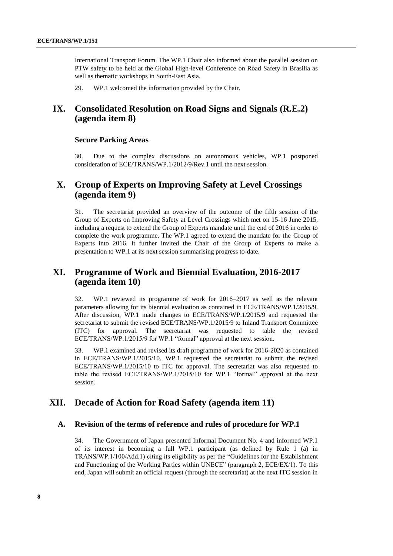International Transport Forum. The WP.1 Chair also informed about the parallel session on PTW safety to be held at the Global High-level Conference on Road Safety in Brasilia as well as thematic workshops in South-East Asia.

29. WP.1 welcomed the information provided by the Chair.

# **IX. Consolidated Resolution on Road Signs and Signals (R.E.2) (agenda item 8)**

#### **Secure Parking Areas**

30. Due to the complex discussions on autonomous vehicles, WP.1 postponed consideration of ECE/TRANS/WP.1/2012/9/Rev.1 until the next session.

# **X. Group of Experts on Improving Safety at Level Crossings (agenda item 9)**

31. The secretariat provided an overview of the outcome of the fifth session of the Group of Experts on Improving Safety at Level Crossings which met on 15-16 June 2015, including a request to extend the Group of Experts mandate until the end of 2016 in order to complete the work programme. The WP.1 agreed to extend the mandate for the Group of Experts into 2016. It further invited the Chair of the Group of Experts to make a presentation to WP.1 at its next session summarising progress to-date.

# **XI. Programme of Work and Biennial Evaluation, 2016-2017 (agenda item 10)**

32. WP.1 reviewed its programme of work for 2016–2017 as well as the relevant parameters allowing for its biennial evaluation as contained in ECE/TRANS/WP.1/2015/9. After discussion, WP.1 made changes to ECE/TRANS/WP.1/2015/9 and requested the secretariat to submit the revised ECE/TRANS/WP.1/2015/9 to Inland Transport Committee (ITC) for approval. The secretariat was requested to table the revised ECE/TRANS/WP.1/2015/9 for WP.1 "formal" approval at the next session.

33. WP.1 examined and revised its draft programme of work for 2016-2020 as contained in ECE/TRANS/WP.1/2015/10. WP.1 requested the secretariat to submit the revised ECE/TRANS/WP.1/2015/10 to ITC for approval. The secretariat was also requested to table the revised ECE/TRANS/WP.1/2015/10 for WP.1 "formal" approval at the next session.

# **XII. Decade of Action for Road Safety (agenda item 11)**

#### **A. Revision of the terms of reference and rules of procedure for WP.1**

34. The Government of Japan presented Informal Document No. 4 and informed WP.1 of its interest in becoming a full WP.1 participant (as defined by Rule 1 (a) in TRANS/WP.1/100/Add.1) citing its eligibility as per the "Guidelines for the Establishment and Functioning of the Working Parties within UNECE" (paragraph 2, ECE/EX/1). To this end, Japan will submit an official request (through the secretariat) at the next ITC session in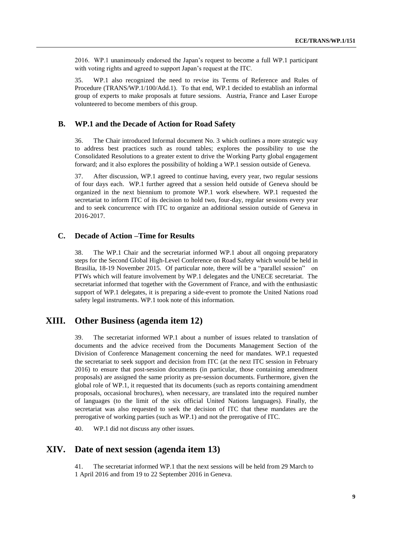2016. WP.1 unanimously endorsed the Japan's request to become a full WP.1 participant with voting rights and agreed to support Japan's request at the ITC.

35. WP.1 also recognized the need to revise its Terms of Reference and Rules of Procedure (TRANS/WP.1/100/Add.1). To that end, WP.1 decided to establish an informal group of experts to make proposals at future sessions. Austria, France and Laser Europe volunteered to become members of this group.

#### **B. WP.1 and the Decade of Action for Road Safety**

36. The Chair introduced Informal document No. 3 which outlines a more strategic way to address best practices such as round tables; explores the possibility to use the Consolidated Resolutions to a greater extent to drive the Working Party global engagement forward; and it also explores the possibility of holding a WP.1 session outside of Geneva.

37. After discussion, WP.1 agreed to continue having, every year, two regular sessions of four days each. WP.1 further agreed that a session held outside of Geneva should be organized in the next biennium to promote WP.1 work elsewhere. WP.1 requested the secretariat to inform ITC of its decision to hold two, four-day, regular sessions every year and to seek concurrence with ITC to organize an additional session outside of Geneva in 2016-2017.

#### **C. Decade of Action –Time for Results**

38. The WP.1 Chair and the secretariat informed WP.1 about all ongoing preparatory steps for the Second Global High-Level Conference on Road Safety which would be held in Brasilia, 18-19 November 2015. Of particular note, there will be a "parallel session" on PTWs which will feature involvement by WP.1 delegates and the UNECE secretariat. The secretariat informed that together with the Government of France, and with the enthusiastic support of WP.1 delegates, it is preparing a side-event to promote the United Nations road safety legal instruments. WP.1 took note of this information.

# **XIII. Other Business (agenda item 12)**

39. The secretariat informed WP.1 about a number of issues related to translation of documents and the advice received from the Documents Management Section of the Division of Conference Management concerning the need for mandates. WP.1 requested the secretariat to seek support and decision from ITC (at the next ITC session in February 2016) to ensure that post-session documents (in particular, those containing amendment proposals) are assigned the same priority as pre-session documents. Furthermore, given the global role of WP.1, it requested that its documents (such as reports containing amendment proposals, occasional brochures), when necessary, are translated into the required number of languages (to the limit of the six official United Nations languages). Finally, the secretariat was also requested to seek the decision of ITC that these mandates are the prerogative of working parties (such as WP.1) and not the prerogative of ITC.

40. WP.1 did not discuss any other issues.

# **XIV. Date of next session (agenda item 13)**

41. The secretariat informed WP.1 that the next sessions will be held from 29 March to 1 April 2016 and from 19 to 22 September 2016 in Geneva.